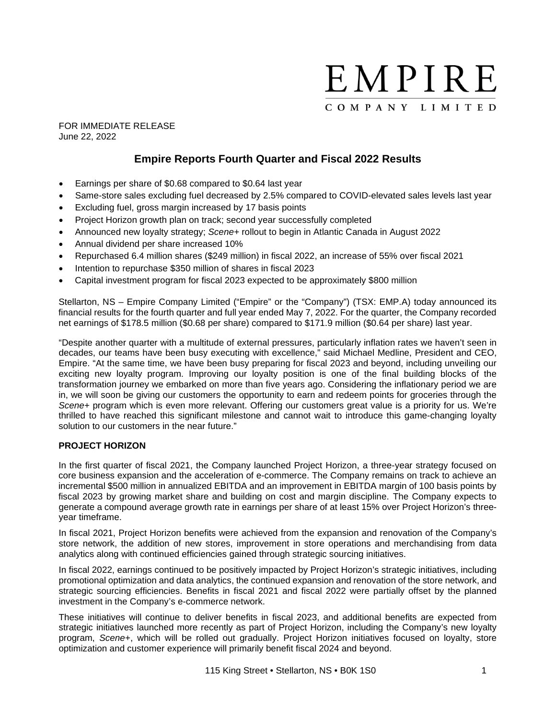

FOR IMMEDIATE RELEASE June 22, 2022

# **Empire Reports Fourth Quarter and Fiscal 2022 Results**

- Earnings per share of \$0.68 compared to \$0.64 last year
- Same-store sales excluding fuel decreased by 2.5% compared to COVID-elevated sales levels last year
- Excluding fuel, gross margin increased by 17 basis points
- Project Horizon growth plan on track; second year successfully completed
- Announced new loyalty strategy; *Scene+* rollout to begin in Atlantic Canada in August 2022
- Annual dividend per share increased 10%
- Repurchased 6.4 million shares (\$249 million) in fiscal 2022, an increase of 55% over fiscal 2021
- Intention to repurchase \$350 million of shares in fiscal 2023
- Capital investment program for fiscal 2023 expected to be approximately \$800 million

Stellarton, NS – Empire Company Limited ("Empire" or the "Company") (TSX: EMP.A) today announced its financial results for the fourth quarter and full year ended May 7, 2022. For the quarter, the Company recorded net earnings of \$178.5 million (\$0.68 per share) compared to \$171.9 million (\$0.64 per share) last year.

"Despite another quarter with a multitude of external pressures, particularly inflation rates we haven't seen in decades, our teams have been busy executing with excellence," said Michael Medline, President and CEO, Empire. "At the same time, we have been busy preparing for fiscal 2023 and beyond, including unveiling our exciting new loyalty program. Improving our loyalty position is one of the final building blocks of the transformation journey we embarked on more than five years ago. Considering the inflationary period we are in, we will soon be giving our customers the opportunity to earn and redeem points for groceries through the *Scene+* program which is even more relevant. Offering our customers great value is a priority for us. We're thrilled to have reached this significant milestone and cannot wait to introduce this game-changing loyalty solution to our customers in the near future."

# **PROJECT HORIZON**

In the first quarter of fiscal 2021, the Company launched Project Horizon, a three-year strategy focused on core business expansion and the acceleration of e-commerce. The Company remains on track to achieve an incremental \$500 million in annualized EBITDA and an improvement in EBITDA margin of 100 basis points by fiscal 2023 by growing market share and building on cost and margin discipline. The Company expects to generate a compound average growth rate in earnings per share of at least 15% over Project Horizon's threeyear timeframe.

In fiscal 2021, Project Horizon benefits were achieved from the expansion and renovation of the Company's store network, the addition of new stores, improvement in store operations and merchandising from data analytics along with continued efficiencies gained through strategic sourcing initiatives.

In fiscal 2022, earnings continued to be positively impacted by Project Horizon's strategic initiatives, including promotional optimization and data analytics, the continued expansion and renovation of the store network, and strategic sourcing efficiencies. Benefits in fiscal 2021 and fiscal 2022 were partially offset by the planned investment in the Company's e-commerce network.

These initiatives will continue to deliver benefits in fiscal 2023, and additional benefits are expected from strategic initiatives launched more recently as part of Project Horizon, including the Company's new loyalty program, *Scene+*, which will be rolled out gradually. Project Horizon initiatives focused on loyalty, store optimization and customer experience will primarily benefit fiscal 2024 and beyond.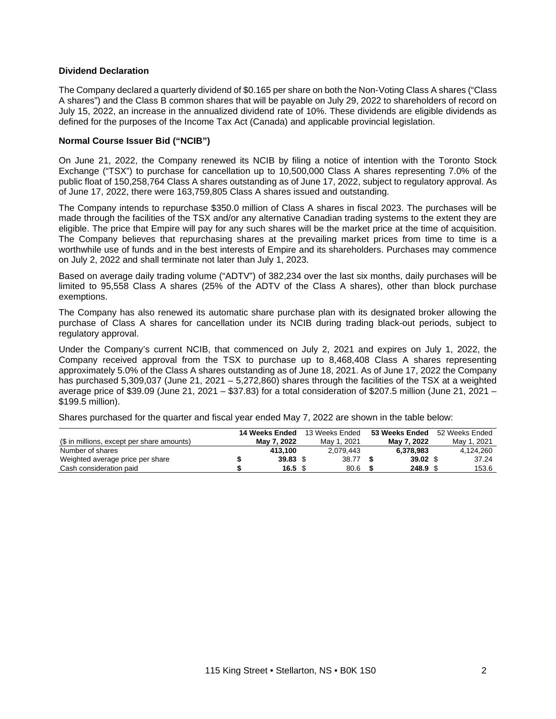#### **Dividend Declaration**

The Company declared a quarterly dividend of \$0.165 per share on both the Non-Voting Class A shares ("Class A shares") and the Class B common shares that will be payable on July 29, 2022 to shareholders of record on July 15, 2022, an increase in the annualized dividend rate of 10%. These dividends are eligible dividends as defined for the purposes of the Income Tax Act (Canada) and applicable provincial legislation.

#### **Normal Course Issuer Bid ("NCIB")**

On June 21, 2022, the Company renewed its NCIB by filing a notice of intention with the Toronto Stock Exchange ("TSX") to purchase for cancellation up to 10,500,000 Class A shares representing 7.0% of the public float of 150,258,764 Class A shares outstanding as of June 17, 2022, subject to regulatory approval. As of June 17, 2022, there were 163,759,805 Class A shares issued and outstanding.

The Company intends to repurchase \$350.0 million of Class A shares in fiscal 2023. The purchases will be made through the facilities of the TSX and/or any alternative Canadian trading systems to the extent they are eligible. The price that Empire will pay for any such shares will be the market price at the time of acquisition. The Company believes that repurchasing shares at the prevailing market prices from time to time is a worthwhile use of funds and in the best interests of Empire and its shareholders. Purchases may commence on July 2, 2022 and shall terminate not later than July 1, 2023.

Based on average daily trading volume ("ADTV") of 382,234 over the last six months, daily purchases will be limited to 95,558 Class A shares (25% of the ADTV of the Class A shares), other than block purchase exemptions.

The Company has also renewed its automatic share purchase plan with its designated broker allowing the purchase of Class A shares for cancellation under its NCIB during trading black-out periods, subject to regulatory approval.

Under the Company's current NCIB, that commenced on July 2, 2021 and expires on July 1, 2022, the Company received approval from the TSX to purchase up to 8,468,408 Class A shares representing approximately 5.0% of the Class A shares outstanding as of June 18, 2021. As of June 17, 2022 the Company has purchased 5,309,037 (June 21, 2021 – 5,272,860) shares through the facilities of the TSX at a weighted average price of \$39.09 (June 21, 2021 – \$37.83) for a total consideration of \$207.5 million (June 21, 2021 – \$199.5 million).

Shares purchased for the quarter and fiscal year ended May 7, 2022 are shown in the table below:

|                                            | 14 Weeks Ended   | 13 Weeks Ended | 53 Weeks Ended     | 52 Weeks Ended |
|--------------------------------------------|------------------|----------------|--------------------|----------------|
| (\$ in millions, except per share amounts) | Mav 7. 2022      | May 1, 2021    | Mav 7. 2022        | May 1, 2021    |
| Number of shares                           | 413.100          | 2.079.443      | 6.378.983          | 4.124.260      |
| Weighted average price per share           | $39.83$ \$       | 38.77          | $39.02$ \$         | 37.24          |
| Cash consideration paid                    | $16.5~{\rm \AA}$ | 80.6           | 248.9 <sup>°</sup> | 153.6          |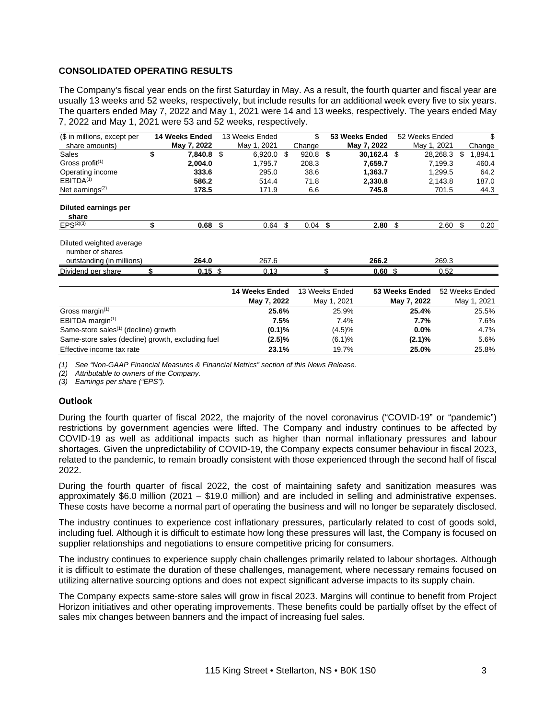## **CONSOLIDATED OPERATING RESULTS**

The Company's fiscal year ends on the first Saturday in May. As a result, the fourth quarter and fiscal year are usually 13 weeks and 52 weeks, respectively, but include results for an additional week every five to six years. The quarters ended May 7, 2022 and May 1, 2021 were 14 and 13 weeks, respectively. The years ended May 7, 2022 and May 1, 2021 were 53 and 52 weeks, respectively.

| (\$ in millions, except per                                               | 14 Weeks Ended |      | 13 Weeks Ended |    | \$        |      | 53 Weeks Ended    | 52 Weeks Ended |    | \$      |
|---------------------------------------------------------------------------|----------------|------|----------------|----|-----------|------|-------------------|----------------|----|---------|
| share amounts)                                                            | May 7, 2022    |      | May 1, 2021    |    | Change    |      | May 7, 2022       | May 1, 2021    |    | Change  |
| <b>Sales</b>                                                              | 7,840.8        | - \$ | $6,920.0$ \$   |    | 920.8     | - \$ | 30,162.4          | \$<br>28.268.3 | S  | 1,894.1 |
| Gross profit $(1)$                                                        | 2,004.0        |      | 1,795.7        |    | 208.3     |      | 7,659.7           | 7.199.3        |    | 460.4   |
| Operating income                                                          | 333.6          |      | 295.0          |    | 38.6      |      | 1.363.7           | 1.299.5        |    | 64.2    |
| EBITDA <sup>(1)</sup>                                                     | 586.2          |      | 514.4          |    | 71.8      |      | 2.330.8           | 2,143.8        |    | 187.0   |
| Net earnings $(2)$                                                        | 178.5          |      | 171.9          |    | 6.6       |      | 745.8             | 701.5          |    | 44.3    |
| Diluted earnings per<br>share<br>$FPS^{(2)(3)}$                           | 0.68           | \$   | 0.64           | -S | $0.04$ \$ |      | 2.80              | \$<br>2.60     | \$ | 0.20    |
|                                                                           |                |      |                |    |           |      |                   |                |    |         |
| Diluted weighted average<br>number of shares<br>outstanding (in millions) | 264.0          |      | 267.6          |    |           |      | 266.2             | 269.3          |    |         |
| Dividend per share                                                        | $0.15$ \$      |      | 0.13           |    |           |      | 0.60 <sup>5</sup> | 0.52           |    |         |
|                                                                           |                |      |                |    |           |      |                   |                |    |         |

|                                                   | 14 Weeks Ended | 13 Weeks Ended | 53 Weeks Ended | 52 Weeks Ended |
|---------------------------------------------------|----------------|----------------|----------------|----------------|
|                                                   | May 7, 2022    | May 1, 2021    | May 7, 2022    | May 1, 2021    |
| Gross margin $(1)$                                | 25.6%          | 25.9%          | 25.4%          | 25.5%          |
| EBITDA margin $(1)$                               | 7.5%           | 7.4%           | 7.7%           | 7.6%           |
| Same-store sales <sup>(1)</sup> (decline) growth  | $(0.1)$ %      | (4.5)%         | 0.0%           | 4.7%           |
| Same-store sales (decline) growth, excluding fuel | $(2.5)\%$      | (6.1)%         | $(2.1)\%$      | 5.6%           |
| Effective income tax rate                         | 23.1%          | 19.7%          | 25.0%          | 25.8%          |

*(1) See "Non-GAAP Financial Measures & Financial Metrics" section of this News Release.*

*(2) Attributable to owners of the Company.*

*(3) Earnings per share ("EPS").*

#### **Outlook**

During the fourth quarter of fiscal 2022, the majority of the novel coronavirus ("COVID-19" or "pandemic") restrictions by government agencies were lifted. The Company and industry continues to be affected by COVID-19 as well as additional impacts such as higher than normal inflationary pressures and labour shortages. Given the unpredictability of COVID-19, the Company expects consumer behaviour in fiscal 2023, related to the pandemic, to remain broadly consistent with those experienced through the second half of fiscal 2022.

During the fourth quarter of fiscal 2022, the cost of maintaining safety and sanitization measures was approximately \$6.0 million (2021 – \$19.0 million) and are included in selling and administrative expenses. These costs have become a normal part of operating the business and will no longer be separately disclosed.

The industry continues to experience cost inflationary pressures, particularly related to cost of goods sold, including fuel. Although it is difficult to estimate how long these pressures will last, the Company is focused on supplier relationships and negotiations to ensure competitive pricing for consumers.

The industry continues to experience supply chain challenges primarily related to labour shortages. Although it is difficult to estimate the duration of these challenges, management, where necessary remains focused on utilizing alternative sourcing options and does not expect significant adverse impacts to its supply chain.

The Company expects same-store sales will grow in fiscal 2023. Margins will continue to benefit from Project Horizon initiatives and other operating improvements. These benefits could be partially offset by the effect of sales mix changes between banners and the impact of increasing fuel sales.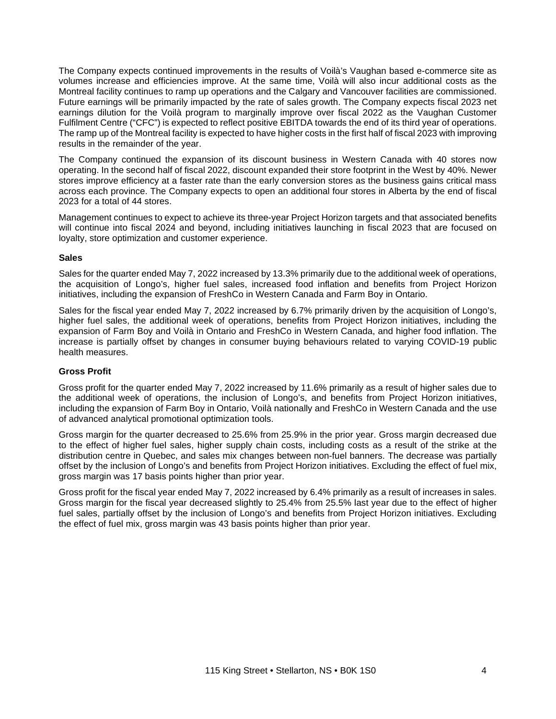The Company expects continued improvements in the results of Voilà's Vaughan based e-commerce site as volumes increase and efficiencies improve. At the same time, Voilà will also incur additional costs as the Montreal facility continues to ramp up operations and the Calgary and Vancouver facilities are commissioned. Future earnings will be primarily impacted by the rate of sales growth. The Company expects fiscal 2023 net earnings dilution for the Voilà program to marginally improve over fiscal 2022 as the Vaughan Customer Fulfilment Centre ("CFC") is expected to reflect positive EBITDA towards the end of its third year of operations. The ramp up of the Montreal facility is expected to have higher costs in the first half of fiscal 2023 with improving results in the remainder of the year.

The Company continued the expansion of its discount business in Western Canada with 40 stores now operating. In the second half of fiscal 2022, discount expanded their store footprint in the West by 40%. Newer stores improve efficiency at a faster rate than the early conversion stores as the business gains critical mass across each province. The Company expects to open an additional four stores in Alberta by the end of fiscal 2023 for a total of 44 stores.

Management continues to expect to achieve its three-year Project Horizon targets and that associated benefits will continue into fiscal 2024 and beyond, including initiatives launching in fiscal 2023 that are focused on loyalty, store optimization and customer experience.

## **Sales**

Sales for the quarter ended May 7, 2022 increased by 13.3% primarily due to the additional week of operations, the acquisition of Longo's, higher fuel sales, increased food inflation and benefits from Project Horizon initiatives, including the expansion of FreshCo in Western Canada and Farm Boy in Ontario.

Sales for the fiscal year ended May 7, 2022 increased by 6.7% primarily driven by the acquisition of Longo's, higher fuel sales, the additional week of operations, benefits from Project Horizon initiatives, including the expansion of Farm Boy and Voilà in Ontario and FreshCo in Western Canada, and higher food inflation. The increase is partially offset by changes in consumer buying behaviours related to varying COVID-19 public health measures.

# **Gross Profit**

Gross profit for the quarter ended May 7, 2022 increased by 11.6% primarily as a result of higher sales due to the additional week of operations, the inclusion of Longo's, and benefits from Project Horizon initiatives, including the expansion of Farm Boy in Ontario, Voilà nationally and FreshCo in Western Canada and the use of advanced analytical promotional optimization tools.

Gross margin for the quarter decreased to 25.6% from 25.9% in the prior year. Gross margin decreased due to the effect of higher fuel sales, higher supply chain costs, including costs as a result of the strike at the distribution centre in Quebec, and sales mix changes between non-fuel banners. The decrease was partially offset by the inclusion of Longo's and benefits from Project Horizon initiatives. Excluding the effect of fuel mix, gross margin was 17 basis points higher than prior year.

Gross profit for the fiscal year ended May 7, 2022 increased by 6.4% primarily as a result of increases in sales. Gross margin for the fiscal year decreased slightly to 25.4% from 25.5% last year due to the effect of higher fuel sales, partially offset by the inclusion of Longo's and benefits from Project Horizon initiatives. Excluding the effect of fuel mix, gross margin was 43 basis points higher than prior year.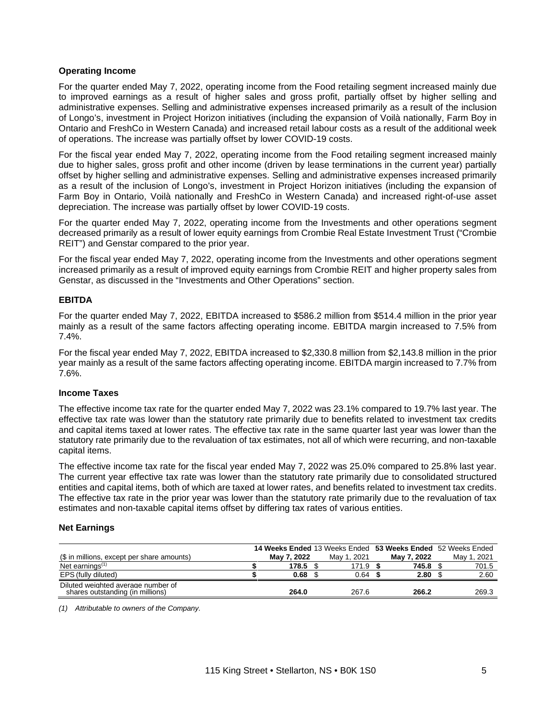### **Operating Income**

For the quarter ended May 7, 2022, operating income from the Food retailing segment increased mainly due to improved earnings as a result of higher sales and gross profit, partially offset by higher selling and administrative expenses. Selling and administrative expenses increased primarily as a result of the inclusion of Longo's, investment in Project Horizon initiatives (including the expansion of Voilà nationally, Farm Boy in Ontario and FreshCo in Western Canada) and increased retail labour costs as a result of the additional week of operations. The increase was partially offset by lower COVID-19 costs.

For the fiscal year ended May 7, 2022, operating income from the Food retailing segment increased mainly due to higher sales, gross profit and other income (driven by lease terminations in the current year) partially offset by higher selling and administrative expenses. Selling and administrative expenses increased primarily as a result of the inclusion of Longo's, investment in Project Horizon initiatives (including the expansion of Farm Boy in Ontario, Voilà nationally and FreshCo in Western Canada) and increased right-of-use asset depreciation. The increase was partially offset by lower COVID-19 costs.

For the quarter ended May 7, 2022, operating income from the Investments and other operations segment decreased primarily as a result of lower equity earnings from Crombie Real Estate Investment Trust ("Crombie REIT") and Genstar compared to the prior year.

For the fiscal year ended May 7, 2022, operating income from the Investments and other operations segment increased primarily as a result of improved equity earnings from Crombie REIT and higher property sales from Genstar, as discussed in the "Investments and Other Operations" section.

## **EBITDA**

For the quarter ended May 7, 2022, EBITDA increased to \$586.2 million from \$514.4 million in the prior year mainly as a result of the same factors affecting operating income. EBITDA margin increased to 7.5% from 7.4%.

For the fiscal year ended May 7, 2022, EBITDA increased to \$2,330.8 million from \$2,143.8 million in the prior year mainly as a result of the same factors affecting operating income. EBITDA margin increased to 7.7% from 7.6%.

#### **Income Taxes**

The effective income tax rate for the quarter ended May 7, 2022 was 23.1% compared to 19.7% last year. The effective tax rate was lower than the statutory rate primarily due to benefits related to investment tax credits and capital items taxed at lower rates. The effective tax rate in the same quarter last year was lower than the statutory rate primarily due to the revaluation of tax estimates, not all of which were recurring, and non-taxable capital items.

The effective income tax rate for the fiscal year ended May 7, 2022 was 25.0% compared to 25.8% last year. The current year effective tax rate was lower than the statutory rate primarily due to consolidated structured entities and capital items, both of which are taxed at lower rates, and benefits related to investment tax credits. The effective tax rate in the prior year was lower than the statutory rate primarily due to the revaluation of tax estimates and non-taxable capital items offset by differing tax rates of various entities.

#### **Net Earnings**

|                                                                        |             |             | <b>14 Weeks Ended 13 Weeks Ended 53 Weeks Ended 52 Weeks Ended</b> |                |
|------------------------------------------------------------------------|-------------|-------------|--------------------------------------------------------------------|----------------|
| (\$ in millions, except per share amounts)                             | May 7, 2022 | May 1, 2021 | May 7, 2022                                                        | .2021<br>Mav i |
| Net earnings $(1)$                                                     | 178.5       | 171.9       | 745.8                                                              | 701.5          |
| EPS (fully diluted)                                                    | 0.68        | 0.64        | 2.80                                                               | 2.60           |
| Diluted weighted average number of<br>shares outstanding (in millions) | 264.0       | 267.6       | 266.2                                                              | 269.3          |

*(1) Attributable to owners of the Company.*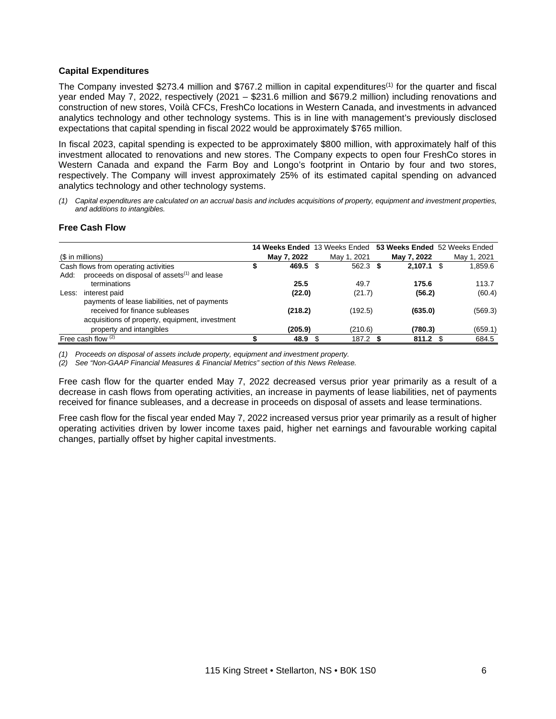#### **Capital Expenditures**

The Company invested \$273.4 million and \$767.2 million in capital expenditures(1) for the quarter and fiscal year ended May 7, 2022, respectively (2021 – \$231.6 million and \$679.2 million) including renovations and construction of new stores, Voilà CFCs, FreshCo locations in Western Canada, and investments in advanced analytics technology and other technology systems. This is in line with management's previously disclosed expectations that capital spending in fiscal 2022 would be approximately \$765 million.

In fiscal 2023, capital spending is expected to be approximately \$800 million, with approximately half of this investment allocated to renovations and new stores. The Company expects to open four FreshCo stores in Western Canada and expand the Farm Boy and Longo's footprint in Ontario by four and two stores, respectively. The Company will invest approximately 25% of its estimated capital spending on advanced analytics technology and other technology systems.

(1) Capital expenditures are calculated on an accrual basis and includes acquisitions of property, equipment and investment properties, *and additions to intangibles.*

# **Free Cash Flow**

|       |                                                         |             | 14 Weeks Ended 13 Weeks Ended | 53 Weeks Ended 52 Weeks Ended |             |
|-------|---------------------------------------------------------|-------------|-------------------------------|-------------------------------|-------------|
|       | $$$ in millions)                                        | May 7, 2022 | May 1, 2021                   | May 7, 2022                   | May 1, 2021 |
|       | Cash flows from operating activities                    | 469.5       | \$<br>$562.3$ \$              | $2,107.1$ \$                  | 1,859.6     |
| Add:  | proceeds on disposal of assets <sup>(1)</sup> and lease |             |                               |                               |             |
|       | terminations                                            | 25.5        | 49.7                          | 175.6                         | 113.7       |
| Less: | interest paid                                           | (22.0)      | (21.7)                        | (56.2)                        | (60.4)      |
|       | payments of lease liabilities, net of payments          |             |                               |                               |             |
|       | received for finance subleases                          | (218.2)     | (192.5)                       | (635.0)                       | (569.3)     |
|       | acquisitions of property, equipment, investment         |             |                               |                               |             |
|       | property and intangibles                                | (205.9)     | (210.6)                       | (780.3)                       | (659.1)     |
|       | Free cash flow $(2)$                                    | 48.9        | $187.2$ \$                    | 811.2                         | 684.5       |

*(1) Proceeds on disposal of assets include property, equipment and investment property.*

*(2) See "Non-GAAP Financial Measures & Financial Metrics" section of this News Release.*

Free cash flow for the quarter ended May 7, 2022 decreased versus prior year primarily as a result of a decrease in cash flows from operating activities, an increase in payments of lease liabilities, net of payments received for finance subleases, and a decrease in proceeds on disposal of assets and lease terminations.

Free cash flow for the fiscal year ended May 7, 2022 increased versus prior year primarily as a result of higher operating activities driven by lower income taxes paid, higher net earnings and favourable working capital changes, partially offset by higher capital investments.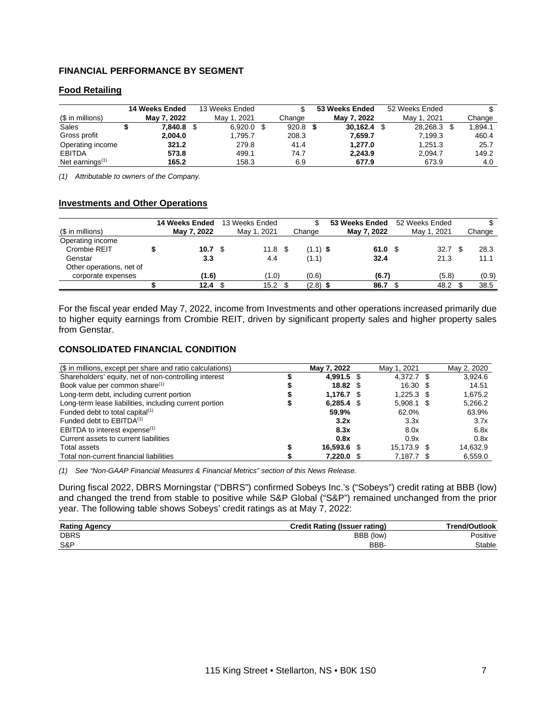# **FINANCIAL PERFORMANCE BY SEGMENT**

## **Food Retailing**

|                    | 14 Weeks Ended | 13 Weeks Ended |            | 53 Weeks Ended | 52 Weeks Ended | S       |
|--------------------|----------------|----------------|------------|----------------|----------------|---------|
| (\$ in millions)   | May 7, 2022    | May 1, 2021    | Change     | May 7, 2022    | May 1, 2021    | Change  |
| Sales              | 7.840.8        | $6,920.0$ \$   | $920.8$ \$ | 30.162.4       | 28,268.3       | 1.894.1 |
| Gross profit       | 2.004.0        | 1.795.7        | 208.3      | 7.659.7        | 7.199.3        | 460.4   |
| Operating income   | 321.2          | 279.8          | 41.4       | 1.277.0        | 1.251.3        | 25.7    |
| <b>EBITDA</b>      | 573.8          | 499.1          | 74.7       | 2.243.9        | 2.094.7        | 149.2   |
| Net earnings $(1)$ | 165.2          | 158.3          | 6.9        | 677.9          | 673.9          | 4.0     |

*(1) Attributable to owners of the Company.*

#### **Investments and Other Operations**

|                          | 14 Weeks Ended | 13 Weeks Ended    | J.         | 53 Weeks Ended | 52 Weeks Ended |  |        |
|--------------------------|----------------|-------------------|------------|----------------|----------------|--|--------|
| (\$ in millions)         | May 7, 2022    | May 1, 2021       | Change     | May 7, 2022    | May 1, 2021    |  | Change |
| Operating income         |                |                   |            |                |                |  |        |
| Crombie REIT             | 10.7 S         | $11.8 \text{ } $$ | $(1.1)$ \$ | 61.0 S         | 32.7           |  | 28.3   |
| Genstar                  | 3.3            | 4.4               | (1.1)      | 32.4           | 21.3           |  | 11.1   |
| Other operations, net of |                |                   |            |                |                |  |        |
| corporate expenses       | (1.6)          | (1.0)             | (0.6)      | (6.7)          | (5.8)          |  | (0.9)  |
|                          | 12.4           | 15.2              | $(2.8)$ \$ | 86.7           | 48.2           |  | 38.5   |

For the fiscal year ended May 7, 2022, income from Investments and other operations increased primarily due to higher equity earnings from Crombie REIT, driven by significant property sales and higher property sales from Genstar.

## **CONSOLIDATED FINANCIAL CONDITION**

| (\$ in millions, except per share and ratio calculations) | May 7, 2022     | May 1, 2021 | May 2, 2020 |
|-----------------------------------------------------------|-----------------|-------------|-------------|
| Shareholders' equity, net of non-controlling interest     | 4.991.5 \$      | 4.372.7 \$  | 3.924.6     |
| Book value per common share <sup>(1)</sup>                | $18.82 \quad $$ | 16.30       | 14.51       |
| Long-term debt, including current portion                 | 1.176.7         | 1.225.3     | 1.675.2     |
| Long-term lease liabilities, including current portion    | $6.285.4$ \$    | 5.908.1     | 5,266.2     |
| Funded debt to total capital <sup>(1)</sup>               | 59.9%           | 62.0%       | 63.9%       |
| Funded debt to EBITDA <sup>(1)</sup>                      | 3.2x            | 3.3x        | 3.7x        |
| EBITDA to interest expense <sup>(1)</sup>                 | 8.3x            | 8.0x        | 6.8x        |
| Current assets to current liabilities                     | 0.8x            | 0.9x        | 0.8x        |
| Total assets                                              | 16.593.6 \$     | 15.173.9    | 14.632.9    |
| Total non-current financial liabilities                   | 7,220.0         | 7,187.7     | 6,559.0     |

*(1) See "Non-GAAP Financial Measures & Financial Metrics" section of this News Release.*

During fiscal 2022, DBRS Morningstar ("DBRS") confirmed Sobeys Inc.'s ("Sobeys") credit rating at BBB (low) and changed the trend from stable to positive while S&P Global ("S&P") remained unchanged from the prior year. The following table shows Sobeys' credit ratings as at May 7, 2022:

| <b>Rating Agency</b> | <b>Credit Rating (Issuer rating)</b> | Trend/Outlook |
|----------------------|--------------------------------------|---------------|
| <b>DBRS</b>          | BBB (low)                            | Positive      |
| S&P                  | BBB-                                 | Stable        |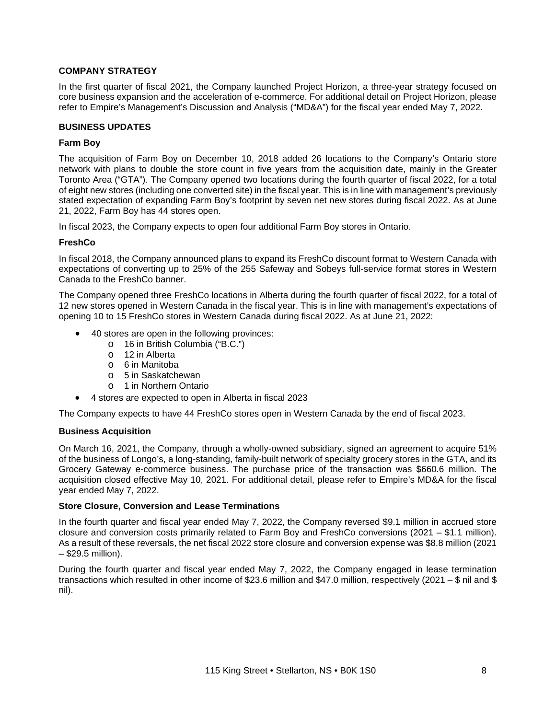## **COMPANY STRATEGY**

In the first quarter of fiscal 2021, the Company launched Project Horizon, a three-year strategy focused on core business expansion and the acceleration of e-commerce. For additional detail on Project Horizon, please refer to Empire's Management's Discussion and Analysis ("MD&A") for the fiscal year ended May 7, 2022.

#### **BUSINESS UPDATES**

#### **Farm Boy**

The acquisition of Farm Boy on December 10, 2018 added 26 locations to the Company's Ontario store network with plans to double the store count in five years from the acquisition date, mainly in the Greater Toronto Area ("GTA"). The Company opened two locations during the fourth quarter of fiscal 2022, for a total of eight new stores (including one converted site) in the fiscal year. This is in line with management's previously stated expectation of expanding Farm Boy's footprint by seven net new stores during fiscal 2022. As at June 21, 2022, Farm Boy has 44 stores open.

In fiscal 2023, the Company expects to open four additional Farm Boy stores in Ontario.

## **FreshCo**

In fiscal 2018, the Company announced plans to expand its FreshCo discount format to Western Canada with expectations of converting up to 25% of the 255 Safeway and Sobeys full-service format stores in Western Canada to the FreshCo banner.

The Company opened three FreshCo locations in Alberta during the fourth quarter of fiscal 2022, for a total of 12 new stores opened in Western Canada in the fiscal year. This is in line with management's expectations of opening 10 to 15 FreshCo stores in Western Canada during fiscal 2022. As at June 21, 2022:

- 40 stores are open in the following provinces:
	- o 16 in British Columbia ("B.C.")
	- o 12 in Alberta
	- o 6 in Manitoba
	- o 5 in Saskatchewan
	- o 1 in Northern Ontario
- 4 stores are expected to open in Alberta in fiscal 2023

The Company expects to have 44 FreshCo stores open in Western Canada by the end of fiscal 2023.

#### **Business Acquisition**

On March 16, 2021, the Company, through a wholly-owned subsidiary, signed an agreement to acquire 51% of the business of Longo's, a long-standing, family-built network of specialty grocery stores in the GTA, and its Grocery Gateway e-commerce business. The purchase price of the transaction was \$660.6 million. The acquisition closed effective May 10, 2021. For additional detail, please refer to Empire's MD&A for the fiscal year ended May 7, 2022.

#### **Store Closure, Conversion and Lease Terminations**

In the fourth quarter and fiscal year ended May 7, 2022, the Company reversed \$9.1 million in accrued store closure and conversion costs primarily related to Farm Boy and FreshCo conversions (2021 – \$1.1 million). As a result of these reversals, the net fiscal 2022 store closure and conversion expense was \$8.8 million (2021 – \$29.5 million).

During the fourth quarter and fiscal year ended May 7, 2022, the Company engaged in lease termination transactions which resulted in other income of \$23.6 million and \$47.0 million, respectively (2021 – \$ nil and \$ nil).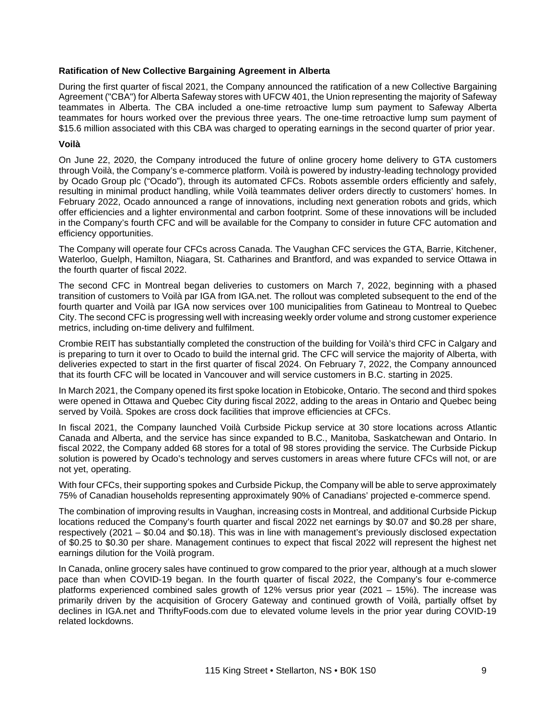#### **Ratification of New Collective Bargaining Agreement in Alberta**

During the first quarter of fiscal 2021, the Company announced the ratification of a new Collective Bargaining Agreement ("CBA") for Alberta Safeway stores with UFCW 401, the Union representing the majority of Safeway teammates in Alberta. The CBA included a one-time retroactive lump sum payment to Safeway Alberta teammates for hours worked over the previous three years. The one-time retroactive lump sum payment of \$15.6 million associated with this CBA was charged to operating earnings in the second quarter of prior year.

## **Voilà**

On June 22, 2020, the Company introduced the future of online grocery home delivery to GTA customers through Voilà, the Company's e-commerce platform. Voilà is powered by industry-leading technology provided by Ocado Group plc ("Ocado"), through its automated CFCs. Robots assemble orders efficiently and safely, resulting in minimal product handling, while Voilà teammates deliver orders directly to customers' homes. In February 2022, Ocado announced a range of innovations, including next generation robots and grids, which offer efficiencies and a lighter environmental and carbon footprint. Some of these innovations will be included in the Company's fourth CFC and will be available for the Company to consider in future CFC automation and efficiency opportunities.

The Company will operate four CFCs across Canada. The Vaughan CFC services the GTA, Barrie, Kitchener, Waterloo, Guelph, Hamilton, Niagara, St. Catharines and Brantford, and was expanded to service Ottawa in the fourth quarter of fiscal 2022.

The second CFC in Montreal began deliveries to customers on March 7, 2022, beginning with a phased transition of customers to Voilà par IGA from IGA.net. The rollout was completed subsequent to the end of the fourth quarter and Voilà par IGA now services over 100 municipalities from Gatineau to Montreal to Quebec City. The second CFC is progressing well with increasing weekly order volume and strong customer experience metrics, including on-time delivery and fulfilment.

Crombie REIT has substantially completed the construction of the building for Voilà's third CFC in Calgary and is preparing to turn it over to Ocado to build the internal grid. The CFC will service the majority of Alberta, with deliveries expected to start in the first quarter of fiscal 2024. On February 7, 2022, the Company announced that its fourth CFC will be located in Vancouver and will service customers in B.C. starting in 2025.

In March 2021, the Company opened its first spoke location in Etobicoke, Ontario. The second and third spokes were opened in Ottawa and Quebec City during fiscal 2022, adding to the areas in Ontario and Quebec being served by Voilà. Spokes are cross dock facilities that improve efficiencies at CFCs.

In fiscal 2021, the Company launched Voilà Curbside Pickup service at 30 store locations across Atlantic Canada and Alberta, and the service has since expanded to B.C., Manitoba, Saskatchewan and Ontario. In fiscal 2022, the Company added 68 stores for a total of 98 stores providing the service. The Curbside Pickup solution is powered by Ocado's technology and serves customers in areas where future CFCs will not, or are not yet, operating.

With four CFCs, their supporting spokes and Curbside Pickup, the Company will be able to serve approximately 75% of Canadian households representing approximately 90% of Canadians' projected e-commerce spend.

The combination of improving results in Vaughan, increasing costs in Montreal, and additional Curbside Pickup locations reduced the Company's fourth quarter and fiscal 2022 net earnings by \$0.07 and \$0.28 per share, respectively (2021 – \$0.04 and \$0.18). This was in line with management's previously disclosed expectation of \$0.25 to \$0.30 per share. Management continues to expect that fiscal 2022 will represent the highest net earnings dilution for the Voilà program.

In Canada, online grocery sales have continued to grow compared to the prior year, although at a much slower pace than when COVID-19 began. In the fourth quarter of fiscal 2022, the Company's four e-commerce platforms experienced combined sales growth of 12% versus prior year (2021 – 15%). The increase was primarily driven by the acquisition of Grocery Gateway and continued growth of Voilà, partially offset by declines in IGA.net and ThriftyFoods.com due to elevated volume levels in the prior year during COVID-19 related lockdowns.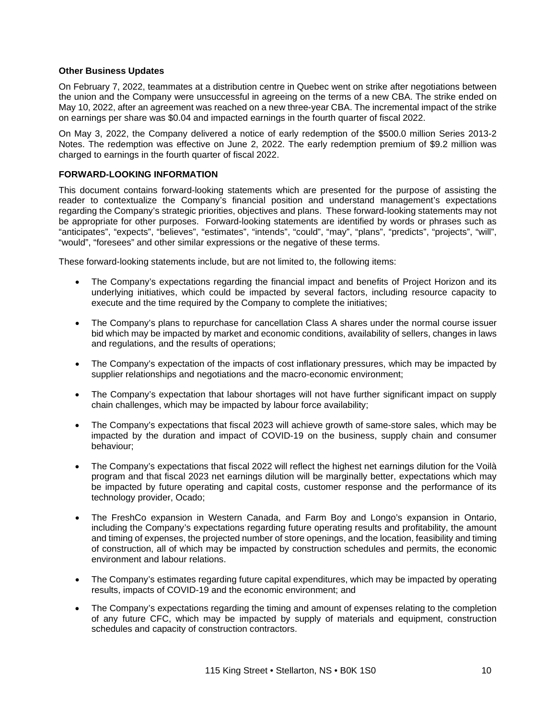#### **Other Business Updates**

On February 7, 2022, teammates at a distribution centre in Quebec went on strike after negotiations between the union and the Company were unsuccessful in agreeing on the terms of a new CBA. The strike ended on May 10, 2022, after an agreement was reached on a new three-year CBA. The incremental impact of the strike on earnings per share was \$0.04 and impacted earnings in the fourth quarter of fiscal 2022.

On May 3, 2022, the Company delivered a notice of early redemption of the \$500.0 million Series 2013-2 Notes. The redemption was effective on June 2, 2022. The early redemption premium of \$9.2 million was charged to earnings in the fourth quarter of fiscal 2022.

# **FORWARD-LOOKING INFORMATION**

This document contains forward-looking statements which are presented for the purpose of assisting the reader to contextualize the Company's financial position and understand management's expectations regarding the Company's strategic priorities, objectives and plans. These forward-looking statements may not be appropriate for other purposes. Forward-looking statements are identified by words or phrases such as "anticipates", "expects", "believes", "estimates", "intends", "could", "may", "plans", "predicts", "projects", "will", "would", "foresees" and other similar expressions or the negative of these terms.

These forward-looking statements include, but are not limited to, the following items:

- The Company's expectations regarding the financial impact and benefits of Project Horizon and its underlying initiatives, which could be impacted by several factors, including resource capacity to execute and the time required by the Company to complete the initiatives;
- The Company's plans to repurchase for cancellation Class A shares under the normal course issuer bid which may be impacted by market and economic conditions, availability of sellers, changes in laws and regulations, and the results of operations;
- The Company's expectation of the impacts of cost inflationary pressures, which may be impacted by supplier relationships and negotiations and the macro-economic environment;
- The Company's expectation that labour shortages will not have further significant impact on supply chain challenges, which may be impacted by labour force availability;
- The Company's expectations that fiscal 2023 will achieve growth of same-store sales, which may be impacted by the duration and impact of COVID-19 on the business, supply chain and consumer behaviour;
- The Company's expectations that fiscal 2022 will reflect the highest net earnings dilution for the Voilà program and that fiscal 2023 net earnings dilution will be marginally better, expectations which may be impacted by future operating and capital costs, customer response and the performance of its technology provider, Ocado;
- The FreshCo expansion in Western Canada, and Farm Boy and Longo's expansion in Ontario, including the Company's expectations regarding future operating results and profitability, the amount and timing of expenses, the projected number of store openings, and the location, feasibility and timing of construction, all of which may be impacted by construction schedules and permits, the economic environment and labour relations.
- The Company's estimates regarding future capital expenditures, which may be impacted by operating results, impacts of COVID-19 and the economic environment; and
- The Company's expectations regarding the timing and amount of expenses relating to the completion of any future CFC, which may be impacted by supply of materials and equipment, construction schedules and capacity of construction contractors.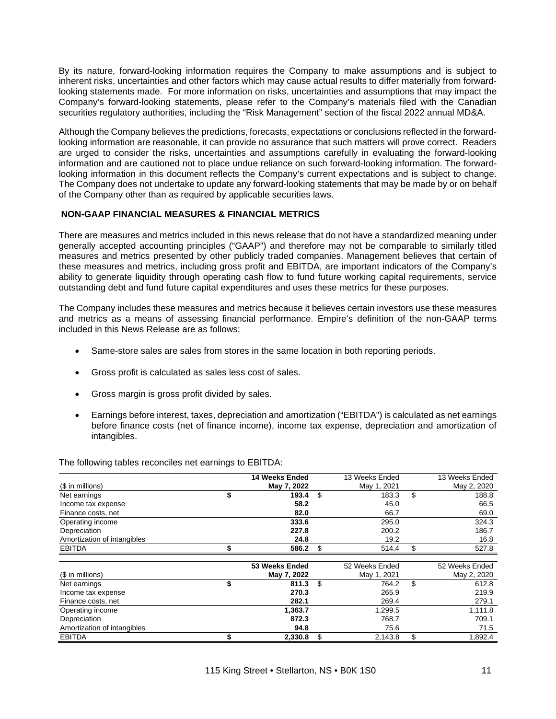By its nature, forward-looking information requires the Company to make assumptions and is subject to inherent risks, uncertainties and other factors which may cause actual results to differ materially from forwardlooking statements made. For more information on risks, uncertainties and assumptions that may impact the Company's forward-looking statements, please refer to the Company's materials filed with the Canadian securities regulatory authorities, including the "Risk Management" section of the fiscal 2022 annual MD&A.

Although the Company believes the predictions, forecasts, expectations or conclusions reflected in the forwardlooking information are reasonable, it can provide no assurance that such matters will prove correct. Readers are urged to consider the risks, uncertainties and assumptions carefully in evaluating the forward-looking information and are cautioned not to place undue reliance on such forward-looking information. The forwardlooking information in this document reflects the Company's current expectations and is subject to change. The Company does not undertake to update any forward-looking statements that may be made by or on behalf of the Company other than as required by applicable securities laws.

## **NON-GAAP FINANCIAL MEASURES & FINANCIAL METRICS**

There are measures and metrics included in this news release that do not have a standardized meaning under generally accepted accounting principles ("GAAP") and therefore may not be comparable to similarly titled measures and metrics presented by other publicly traded companies. Management believes that certain of these measures and metrics, including gross profit and EBITDA, are important indicators of the Company's ability to generate liquidity through operating cash flow to fund future working capital requirements, service outstanding debt and fund future capital expenditures and uses these metrics for these purposes.

The Company includes these measures and metrics because it believes certain investors use these measures and metrics as a means of assessing financial performance. Empire's definition of the non-GAAP terms included in this News Release are as follows:

- Same-store sales are sales from stores in the same location in both reporting periods.
- Gross profit is calculated as sales less cost of sales.
- Gross margin is gross profit divided by sales.
- Earnings before interest, taxes, depreciation and amortization ("EBITDA") is calculated as net earnings before finance costs (net of finance income), income tax expense, depreciation and amortization of intangibles.

|                             | 14 Weeks Ended | 13 Weeks Ended | 13 Weeks Ended |
|-----------------------------|----------------|----------------|----------------|
| (\$ in millions)            | May 7, 2022    | May 1, 2021    | May 2, 2020    |
| Net earnings                | \$<br>193.4    | \$<br>183.3    | \$<br>188.8    |
| Income tax expense          | 58.2           | 45.0           | 66.5           |
| Finance costs, net          | 82.0           | 66.7           | 69.0           |
| Operating income            | 333.6          | 295.0          | 324.3          |
| Depreciation                | 227.8          | 200.2          | 186.7          |
| Amortization of intangibles | 24.8           | 19.2           | 16.8           |
| <b>EBITDA</b>               | 586.2          | \$<br>514.4    | \$<br>527.8    |
|                             |                |                |                |
|                             | 53 Weeks Ended | 52 Weeks Ended | 52 Weeks Ended |
| (\$ in millions)            | May 7, 2022    | May 1, 2021    | May 2, 2020    |
| Net earnings                | \$<br>811.3    | \$<br>764.2    | \$<br>612.8    |
| Income tax expense          | 270.3          | 265.9          | 219.9          |
| Finance costs, net          | 282.1          | 269.4          | 279.1          |
| Operating income            | 1,363.7        | 1,299.5        | 1,111.8        |
| Depreciation                | 872.3          | 768.7          | 709.1          |
| Amortization of intangibles | 94.8           | 75.6           | 71.5           |
|                             |                |                |                |

The following tables reconciles net earnings to EBITDA: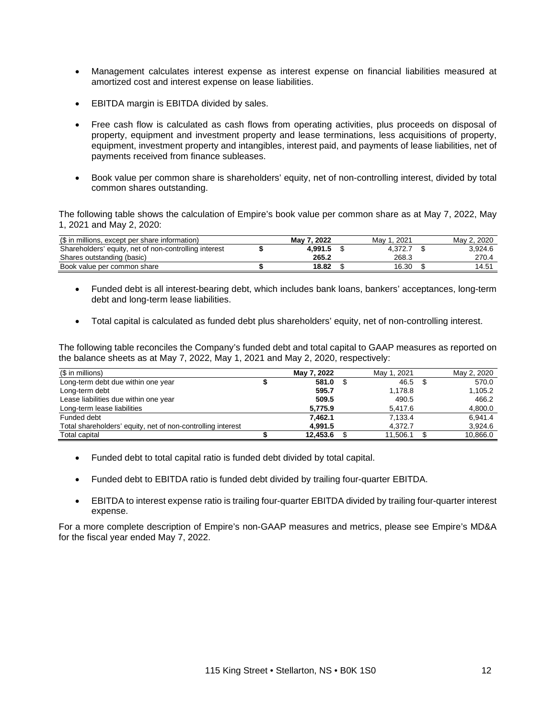- Management calculates interest expense as interest expense on financial liabilities measured at amortized cost and interest expense on lease liabilities.
- EBITDA margin is EBITDA divided by sales.
- Free cash flow is calculated as cash flows from operating activities, plus proceeds on disposal of property, equipment and investment property and lease terminations, less acquisitions of property, equipment, investment property and intangibles, interest paid, and payments of lease liabilities, net of payments received from finance subleases.
- Book value per common share is shareholders' equity, net of non-controlling interest, divided by total common shares outstanding.

The following table shows the calculation of Empire's book value per common share as at May 7, 2022, May 1, 2021 and May 2, 2020:

| (\$ in millions, except per share information)        | May 7, 2022 | 2021<br>Mav | May 2, 2020 |
|-------------------------------------------------------|-------------|-------------|-------------|
| Shareholders' equity, net of non-controlling interest | 4.991.5     | 4.372.7     | 3.924.6     |
| Shares outstanding (basic)                            | 265.2       | 268.3       | 270.4       |
| Book value per common share                           | 18.82       | 16.30       | 14.51       |

- Funded debt is all interest-bearing debt, which includes bank loans, bankers' acceptances, long-term debt and long-term lease liabilities.
- Total capital is calculated as funded debt plus shareholders' equity, net of non-controlling interest.

The following table reconciles the Company's funded debt and total capital to GAAP measures as reported on the balance sheets as at May 7, 2022, May 1, 2021 and May 2, 2020, respectively:

| $$$ in millions)                                            | May 7, 2022 | May 1, 2021 | May 2, 2020 |
|-------------------------------------------------------------|-------------|-------------|-------------|
| Long-term debt due within one year                          | 581.0       | 46.5        | 570.0       |
| Long-term debt                                              | 595.7       | 1.178.8     | 1,105.2     |
| Lease liabilities due within one year                       | 509.5       | 490.5       | 466.2       |
| Long-term lease liabilities                                 | 5.775.9     | 5.417.6     | 4,800.0     |
| Funded debt                                                 | 7.462.1     | 7,133.4     | 6.941.4     |
| Total shareholders' equity, net of non-controlling interest | 4.991.5     | 4.372.7     | 3,924.6     |
| Total capital                                               | 12.453.6    | 11.506.1    | 10,866.0    |

- Funded debt to total capital ratio is funded debt divided by total capital.
- Funded debt to EBITDA ratio is funded debt divided by trailing four-quarter EBITDA.
- EBITDA to interest expense ratio is trailing four-quarter EBITDA divided by trailing four-quarter interest expense.

For a more complete description of Empire's non-GAAP measures and metrics, please see Empire's MD&A for the fiscal year ended May 7, 2022.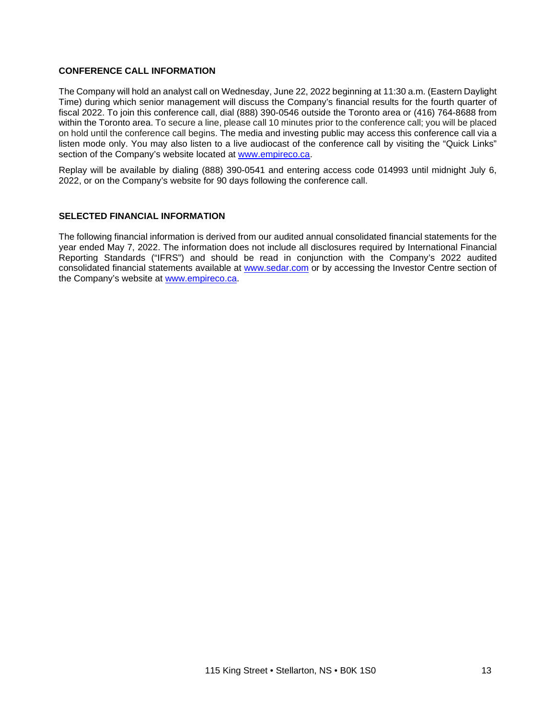# **CONFERENCE CALL INFORMATION**

The Company will hold an analyst call on Wednesday, June 22, 2022 beginning at 11:30 a.m. (Eastern Daylight Time) during which senior management will discuss the Company's financial results for the fourth quarter of fiscal 2022. To join this conference call, dial (888) 390-0546 outside the Toronto area or (416) 764-8688 from within the Toronto area. To secure a line, please call 10 minutes prior to the conference call; you will be placed on hold until the conference call begins. The media and investing public may access this conference call via a listen mode only. You may also listen to a live audiocast of the conference call by visiting the "Quick Links" section of the Company's website located at [www.empireco.ca.](http://www.empireco.ca/)

Replay will be available by dialing (888) 390-0541 and entering access code 014993 until midnight July 6, 2022, or on the Company's website for 90 days following the conference call.

#### **SELECTED FINANCIAL INFORMATION**

The following financial information is derived from our audited annual consolidated financial statements for the year ended May 7, 2022. The information does not include all disclosures required by International Financial Reporting Standards ("IFRS") and should be read in conjunction with the Company's 2022 audited consolidated financial statements available at [www.sedar.com](http://www.sedar.com/) or by accessing the Investor Centre section of the Company's website at [www.empireco.ca.](http://www.empireco.ca/)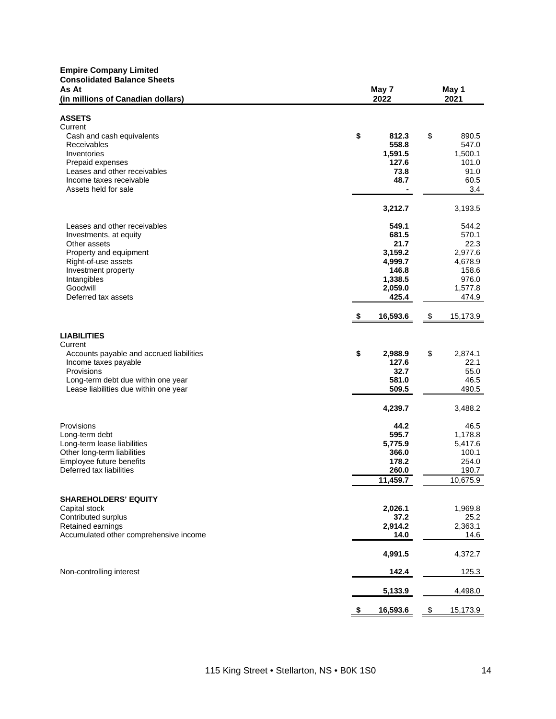| <b>Empire Company Limited</b><br><b>Consolidated Balance Sheets</b><br>As At                                                                                                                     |                                                                                      |    | May 1<br>2021                                                                      |  |  |
|--------------------------------------------------------------------------------------------------------------------------------------------------------------------------------------------------|--------------------------------------------------------------------------------------|----|------------------------------------------------------------------------------------|--|--|
| (in millions of Canadian dollars)                                                                                                                                                                | May 7<br>2022                                                                        |    |                                                                                    |  |  |
| <b>ASSETS</b><br>Current<br>Cash and cash equivalents<br><b>Receivables</b><br>Inventories<br>Prepaid expenses<br>Leases and other receivables                                                   | \$<br>812.3<br>558.8<br>1,591.5<br>127.6<br>73.8                                     | \$ | 890.5<br>547.0<br>1,500.1<br>101.0<br>91.0                                         |  |  |
| Income taxes receivable<br>Assets held for sale                                                                                                                                                  | 48.7<br>3,212.7                                                                      |    | 60.5<br>3.4<br>3,193.5                                                             |  |  |
| Leases and other receivables<br>Investments, at equity<br>Other assets<br>Property and equipment<br>Right-of-use assets<br>Investment property<br>Intangibles<br>Goodwill<br>Deferred tax assets | 549.1<br>681.5<br>21.7<br>3,159.2<br>4,999.7<br>146.8<br>1,338.5<br>2,059.0<br>425.4 |    | 544.2<br>570.1<br>22.3<br>2,977.6<br>4,678.9<br>158.6<br>976.0<br>1,577.8<br>474.9 |  |  |
|                                                                                                                                                                                                  | 16,593.6<br>\$                                                                       | \$ | 15,173.9                                                                           |  |  |
| <b>LIABILITIES</b><br>Current<br>Accounts payable and accrued liabilities<br>Income taxes payable<br>Provisions<br>Long-term debt due within one year<br>Lease liabilities due within one year   | \$<br>2,988.9<br>127.6<br>32.7<br>581.0<br>509.5<br>4,239.7                          | \$ | 2,874.1<br>22.1<br>55.0<br>46.5<br>490.5<br>3,488.2                                |  |  |
| Provisions<br>Long-term debt<br>Long-term lease liabilities<br>Other long-term liabilities<br>Employee future benefits<br>Deferred tax liabilities                                               | 44.2<br>595.7<br>5,775.9<br>366.0<br>178.2<br>260.0<br>11,459.7                      |    | 46.5<br>1,178.8<br>5,417.6<br>100.1<br>254.0<br>190.7<br>10,675.9                  |  |  |
| <b>SHAREHOLDERS' EQUITY</b><br>Capital stock<br>Contributed surplus<br>Retained earnings<br>Accumulated other comprehensive income                                                               | 2,026.1<br>37.2<br>2,914.2<br>14.0                                                   |    | 1,969.8<br>25.2<br>2,363.1<br>14.6                                                 |  |  |
|                                                                                                                                                                                                  | 4,991.5                                                                              |    | 4,372.7                                                                            |  |  |
| Non-controlling interest                                                                                                                                                                         | 142.4                                                                                |    | 125.3                                                                              |  |  |
|                                                                                                                                                                                                  | 5,133.9<br>\$<br>16,593.6                                                            | \$ | 4,498.0<br>15,173.9                                                                |  |  |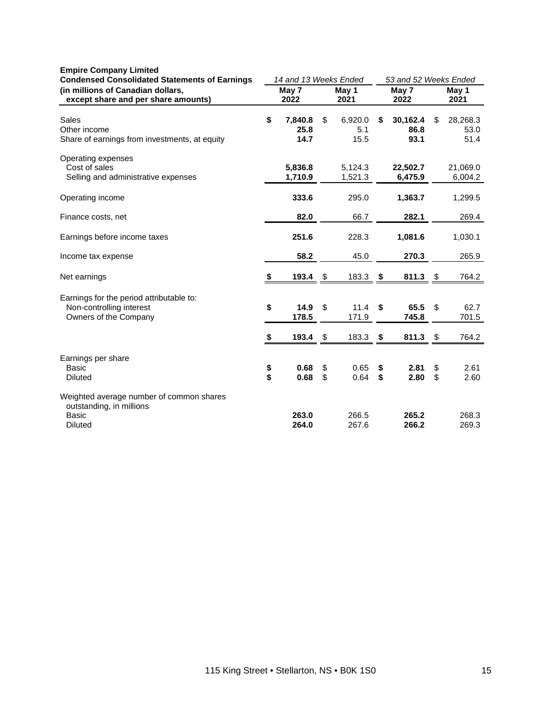| <b>Condensed Consolidated Statements of Earnings</b><br>(in millions of Canadian dollars,<br>except share and per share amounts) |          | 14 and 13 Weeks Ended   |          |                        |          | 53 and 52 Weeks Ended    |          |                          |  |
|----------------------------------------------------------------------------------------------------------------------------------|----------|-------------------------|----------|------------------------|----------|--------------------------|----------|--------------------------|--|
|                                                                                                                                  |          | May 7<br>2022           |          | May 1<br>2021          |          | May 7<br>2022            |          | May 1<br>2021            |  |
| <b>Sales</b><br>Other income<br>Share of earnings from investments, at equity                                                    | \$       | 7,840.8<br>25.8<br>14.7 | \$       | 6,920.0<br>5.1<br>15.5 | \$       | 30,162.4<br>86.8<br>93.1 | \$       | 28,268.3<br>53.0<br>51.4 |  |
| Operating expenses<br>Cost of sales<br>Selling and administrative expenses                                                       |          | 5,836.8<br>1,710.9      |          | 5,124.3<br>1,521.3     |          | 22,502.7<br>6,475.9      |          | 21,069.0<br>6,004.2      |  |
| Operating income                                                                                                                 |          | 333.6                   |          | 295.0                  |          | 1,363.7                  |          | 1,299.5                  |  |
| Finance costs, net                                                                                                               |          | 82.0                    |          | 66.7                   |          | 282.1                    |          | 269.4                    |  |
| Earnings before income taxes                                                                                                     |          | 251.6                   |          | 228.3                  |          | 1,081.6                  |          | 1,030.1                  |  |
| Income tax expense                                                                                                               |          | 58.2                    |          | 45.0                   |          | 270.3                    |          | 265.9                    |  |
| Net earnings                                                                                                                     | \$       | 193.4                   | \$       | 183.3                  | \$       | 811.3                    | \$       | 764.2                    |  |
| Earnings for the period attributable to:<br>Non-controlling interest<br>Owners of the Company                                    | \$       | 14.9<br>178.5           | \$       | 11.4<br>171.9          | \$       | 65.5<br>745.8            | \$       | 62.7<br>701.5            |  |
|                                                                                                                                  | \$       | 193.4                   | \$       | 183.3                  | \$       | 811.3                    | \$       | 764.2                    |  |
| Earnings per share<br><b>Basic</b><br><b>Diluted</b>                                                                             | \$<br>\$ | 0.68<br>0.68            | \$<br>\$ | 0.65<br>0.64           | \$<br>\$ | 2.81<br>2.80             | \$<br>\$ | 2.61<br>2.60             |  |
| Weighted average number of common shares<br>outstanding, in millions<br><b>Basic</b><br>Diluted                                  |          | 263.0<br>264.0          |          | 266.5<br>267.6         |          | 265.2<br>266.2           |          | 268.3<br>269.3           |  |

#### **Empire Company Limited**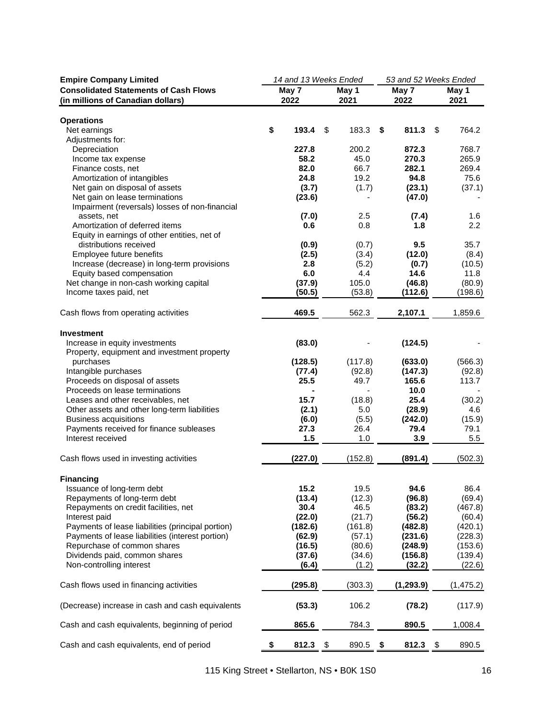| <b>Empire Company Limited</b>                       | 14 and 13 Weeks Ended |         |       | 53 and 52 Weeks Ended |       |            |       |                   |
|-----------------------------------------------------|-----------------------|---------|-------|-----------------------|-------|------------|-------|-------------------|
| <b>Consolidated Statements of Cash Flows</b>        | May 7                 |         | May 1 |                       | May 7 |            | May 1 |                   |
| (in millions of Canadian dollars)                   |                       | 2022    |       | 2021                  |       | 2022       |       | 2021              |
|                                                     |                       |         |       |                       |       |            |       |                   |
| <b>Operations</b>                                   |                       |         |       |                       |       |            |       |                   |
| Net earnings                                        | \$                    | 193.4   | \$    | 183.3                 | \$    | 811.3      | \$    | 764.2             |
| Adjustments for:                                    |                       |         |       |                       |       |            |       |                   |
| Depreciation                                        |                       | 227.8   |       | 200.2                 |       | 872.3      |       | 768.7             |
| Income tax expense                                  |                       | 58.2    |       | 45.0                  |       | 270.3      |       | 265.9             |
| Finance costs, net                                  |                       | 82.0    |       | 66.7                  |       | 282.1      |       | 269.4             |
| Amortization of intangibles                         |                       | 24.8    |       | 19.2                  |       | 94.8       |       | 75.6              |
| Net gain on disposal of assets                      |                       | (3.7)   |       | (1.7)                 |       | (23.1)     |       | (37.1)            |
| Net gain on lease terminations                      |                       | (23.6)  |       |                       |       | (47.0)     |       |                   |
| Impairment (reversals) losses of non-financial      |                       |         |       |                       |       |            |       |                   |
| assets, net                                         |                       | (7.0)   |       | 2.5                   |       | (7.4)      |       | 1.6               |
| Amortization of deferred items                      |                       | 0.6     |       | 0.8                   |       | 1.8        |       | 2.2               |
| Equity in earnings of other entities, net of        |                       |         |       |                       |       |            |       |                   |
| distributions received                              |                       | (0.9)   |       | (0.7)                 |       | 9.5        |       | 35.7              |
| Employee future benefits                            |                       | (2.5)   |       | (3.4)                 |       | (12.0)     |       | (8.4)             |
| Increase (decrease) in long-term provisions         |                       | 2.8     |       | (5.2)                 |       | (0.7)      |       | (10.5)            |
| Equity based compensation                           |                       | 6.0     |       | 4.4                   |       | 14.6       |       | 11.8              |
| Net change in non-cash working capital              |                       | (37.9)  |       | 105.0                 |       | (46.8)     |       | (80.9)<br>(198.6) |
| Income taxes paid, net                              |                       | (50.5)  |       | (53.8)                |       | (112.6)    |       |                   |
|                                                     |                       |         |       |                       |       |            |       |                   |
| Cash flows from operating activities                |                       | 469.5   |       | 562.3                 |       | 2,107.1    |       | 1,859.6           |
|                                                     |                       |         |       |                       |       |            |       |                   |
| <b>Investment</b><br>Increase in equity investments |                       | (83.0)  |       |                       |       | (124.5)    |       |                   |
| Property, equipment and investment property         |                       |         |       |                       |       |            |       |                   |
| purchases                                           |                       | (128.5) |       | (117.8)               |       | (633.0)    |       | (566.3)           |
| Intangible purchases                                |                       | (77.4)  |       | (92.8)                |       | (147.3)    |       | (92.8)            |
| Proceeds on disposal of assets                      |                       | 25.5    |       | 49.7                  |       | 165.6      |       | 113.7             |
| Proceeds on lease terminations                      |                       |         |       |                       |       | 10.0       |       |                   |
| Leases and other receivables, net                   |                       | 15.7    |       | (18.8)                |       | 25.4       |       | (30.2)            |
| Other assets and other long-term liabilities        |                       | (2.1)   |       | 5.0                   |       | (28.9)     |       | 4.6               |
| <b>Business acquisitions</b>                        |                       | (6.0)   |       | (5.5)                 |       | (242.0)    |       | (15.9)            |
| Payments received for finance subleases             |                       | 27.3    |       | 26.4                  |       | 79.4       |       | 79.1              |
| Interest received                                   |                       | 1.5     |       | 1.0                   |       | 3.9        |       | 5.5               |
|                                                     |                       |         |       |                       |       |            |       |                   |
| Cash flows used in investing activities             |                       | (227.0) |       | (152.8)               |       | (891.4)    |       | (502.3)           |
|                                                     |                       |         |       |                       |       |            |       |                   |
| <b>Financing</b>                                    |                       |         |       |                       |       |            |       |                   |
| Issuance of long-term debt                          |                       | 15.2    |       | 19.5                  |       | 94.6       |       | 86.4              |
| Repayments of long-term debt                        |                       | (13.4)  |       | (12.3)                |       | (96.8)     |       | (69.4)            |
| Repayments on credit facilities, net                |                       | 30.4    |       | 46.5                  |       | (83.2)     |       | (467.8)           |
| Interest paid                                       |                       | (22.0)  |       | (21.7)                |       | (56.2)     |       | (60.4)            |
| Payments of lease liabilities (principal portion)   |                       | (182.6) |       | (161.8)               |       | (482.8)    |       | (420.1)           |
| Payments of lease liabilities (interest portion)    |                       | (62.9)  |       | (57.1)                |       | (231.6)    |       | (228.3)           |
| Repurchase of common shares                         |                       | (16.5)  |       | (80.6)                |       | (248.9)    |       | (153.6)           |
| Dividends paid, common shares                       |                       | (37.6)  |       | (34.6)                |       | (156.8)    |       | (139.4)           |
| Non-controlling interest                            |                       | (6.4)   |       | (1.2)                 |       | (32.2)     |       | (22.6)            |
|                                                     |                       |         |       |                       |       |            |       |                   |
| Cash flows used in financing activities             |                       | (295.8) |       | (303.3)               |       | (1, 293.9) |       | (1, 475.2)        |
|                                                     |                       |         |       |                       |       |            |       |                   |
| (Decrease) increase in cash and cash equivalents    |                       | (53.3)  |       | 106.2                 |       | (78.2)     |       | (117.9)           |
|                                                     |                       |         |       |                       |       |            |       |                   |
| Cash and cash equivalents, beginning of period      |                       | 865.6   |       | 784.3                 |       | 890.5      |       | 1,008.4           |
| Cash and cash equivalents, end of period            |                       | 812.3   |       |                       |       | 812.3      |       |                   |
|                                                     | \$                    |         | -\$   | 890.5                 | \$    |            | - \$  | 890.5             |